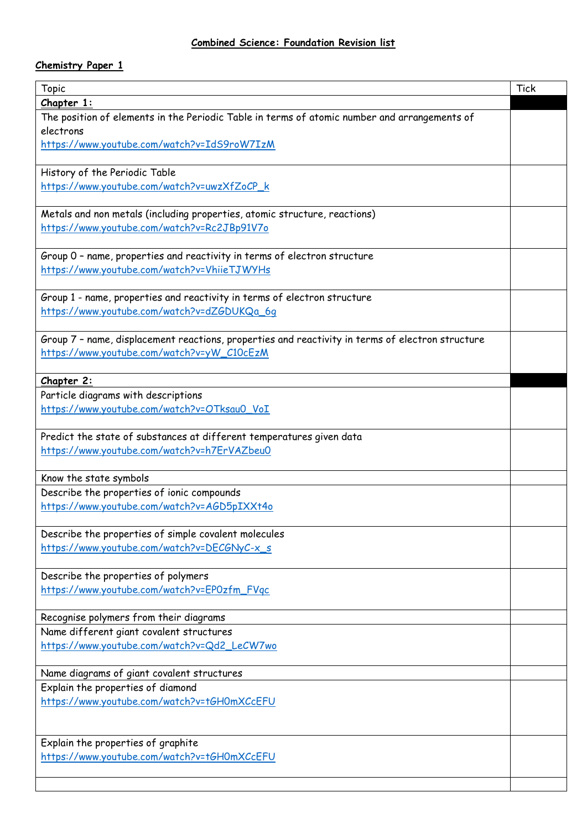## **Chemistry Paper 1**

| <b>Topic</b>                                                                                     | <b>Tick</b> |
|--------------------------------------------------------------------------------------------------|-------------|
| Chapter 1:                                                                                       |             |
| The position of elements in the Periodic Table in terms of atomic number and arrangements of     |             |
| electrons                                                                                        |             |
| https://www.youtube.com/watch?v=IdS9roW7IzM                                                      |             |
|                                                                                                  |             |
| History of the Periodic Table                                                                    |             |
| https://www.youtube.com/watch?v=uwzXfZoCP_k                                                      |             |
|                                                                                                  |             |
| Metals and non metals (including properties, atomic structure, reactions)                        |             |
| https://www.youtube.com/watch?v=Rc2JBp91V7o                                                      |             |
|                                                                                                  |             |
| Group 0 - name, properties and reactivity in terms of electron structure                         |             |
| https://www.youtube.com/watch?v=VhiieTJWYHs                                                      |             |
| Group 1 - name, properties and reactivity in terms of electron structure                         |             |
| https://www.youtube.com/watch?v=dZGDUKQa_6q                                                      |             |
|                                                                                                  |             |
| Group 7 - name, displacement reactions, properties and reactivity in terms of electron structure |             |
| https://www.youtube.com/watch?v=yW_C10cEzM                                                       |             |
|                                                                                                  |             |
| Chapter 2:                                                                                       |             |
| Particle diagrams with descriptions                                                              |             |
| https://www.youtube.com/watch?v=OTksau0_VoI                                                      |             |
|                                                                                                  |             |
| Predict the state of substances at different temperatures given data                             |             |
| https://www.youtube.com/watch?v=h7ErVAZbeu0                                                      |             |
|                                                                                                  |             |
| Know the state symbols                                                                           |             |
| Describe the properties of ionic compounds                                                       |             |
| https://www.youtube.com/watch?v=AGD5pIXXt4o                                                      |             |
| Describe the properties of simple covalent molecules                                             |             |
| https://www.youtube.com/watch?v=DECGNyC-x_s                                                      |             |
|                                                                                                  |             |
| Describe the properties of polymers                                                              |             |
| https://www.youtube.com/watch?v=EP0zfm_FVqc                                                      |             |
|                                                                                                  |             |
| Recognise polymers from their diagrams                                                           |             |
| Name different giant covalent structures                                                         |             |
| https://www.youtube.com/watch?v=Qd2_LeCW7wo                                                      |             |
|                                                                                                  |             |
| Name diagrams of giant covalent structures                                                       |             |
| Explain the properties of diamond                                                                |             |
| https://www.youtube.com/watch?v=tGH0mXCcEFU                                                      |             |
|                                                                                                  |             |
|                                                                                                  |             |
| Explain the properties of graphite                                                               |             |
| https://www.youtube.com/watch?v=tGH0mXCcEFU                                                      |             |
|                                                                                                  |             |
|                                                                                                  |             |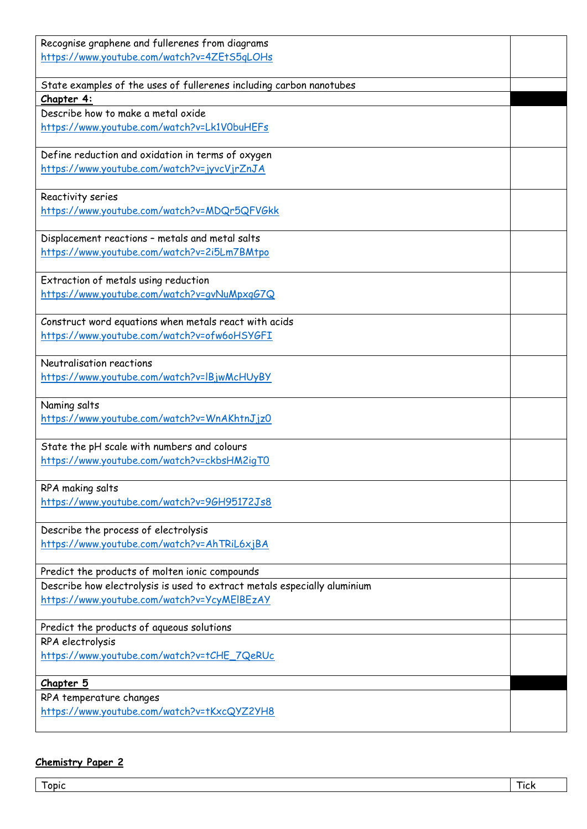| Recognise graphene and fullerenes from diagrams<br>https://www.youtube.com/watch?v=4ZEtS5qLOHs |  |
|------------------------------------------------------------------------------------------------|--|
|                                                                                                |  |
| State examples of the uses of fullerenes including carbon nanotubes                            |  |
| Chapter 4:                                                                                     |  |
| Describe how to make a metal oxide                                                             |  |
| https://www.youtube.com/watch?v=Lk1V0buHEFs                                                    |  |
| Define reduction and oxidation in terms of oxygen                                              |  |
| https://www.youtube.com/watch?v=jyvcVjrZnJA                                                    |  |
| Reactivity series                                                                              |  |
| https://www.youtube.com/watch?v=MDQr5QFVGkk                                                    |  |
| Displacement reactions - metals and metal salts                                                |  |
| https://www.youtube.com/watch?v=2i5Lm7BMtpo                                                    |  |
| Extraction of metals using reduction                                                           |  |
| https://www.youtube.com/watch?v=gvNuMpxgG7Q                                                    |  |
| Construct word equations when metals react with acids                                          |  |
| https://www.youtube.com/watch?v=ofw6oHSYGFI                                                    |  |
| Neutralisation reactions                                                                       |  |
| https://www.youtube.com/watch?v=IBjwMcHUyBY                                                    |  |
| Naming salts                                                                                   |  |
| https://www.youtube.com/watch?v=WnAKhtnJjz0                                                    |  |
| State the pH scale with numbers and colours                                                    |  |
| https://www.youtube.com/watch?v=ckbsHM2igT0                                                    |  |
| RPA making salts                                                                               |  |
| https://www.youtube.com/watch?v=96H95172Js8                                                    |  |
| Describe the process of electrolysis                                                           |  |
| https://www.youtube.com/watch?v=AhTRiL6xjBA                                                    |  |
| Predict the products of molten ionic compounds                                                 |  |
| Describe how electrolysis is used to extract metals especially aluminium                       |  |
| https://www.youtube.com/watch?v=YcyMEIBEzAY                                                    |  |
| Predict the products of aqueous solutions                                                      |  |
| RPA electrolysis                                                                               |  |
| https://www.youtube.com/watch?v=tCHE_7QeRUc                                                    |  |
| Chapter 5                                                                                      |  |
| RPA temperature changes                                                                        |  |
| https://www.youtube.com/watch?v=tKxcQYZ2YH8                                                    |  |

## **Chemistry Paper 2**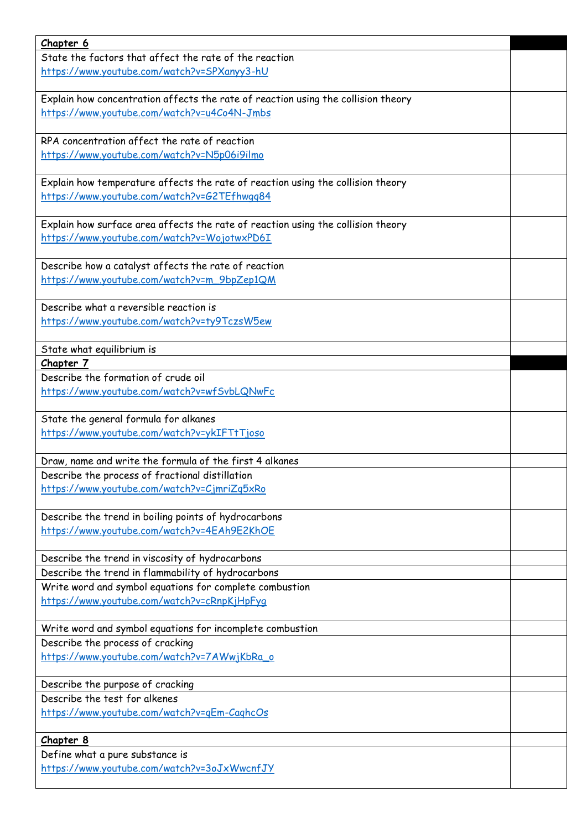| Chapter 6                                                                         |  |
|-----------------------------------------------------------------------------------|--|
| State the factors that affect the rate of the reaction                            |  |
| https://www.youtube.com/watch?v=SPXanyy3-hU                                       |  |
|                                                                                   |  |
| Explain how concentration affects the rate of reaction using the collision theory |  |
| https://www.youtube.com/watch?v=u4Co4N-Jmbs                                       |  |
| RPA concentration affect the rate of reaction                                     |  |
| https://www.youtube.com/watch?v=N5p06i9ilmo                                       |  |
|                                                                                   |  |
| Explain how temperature affects the rate of reaction using the collision theory   |  |
| https://www.youtube.com/watch?v=G2TEfhwqq84                                       |  |
|                                                                                   |  |
| Explain how surface area affects the rate of reaction using the collision theory  |  |
| https://www.youtube.com/watch?v=WojotwxPD6I                                       |  |
|                                                                                   |  |
| Describe how a catalyst affects the rate of reaction                              |  |
| https://www.youtube.com/watch?v=m_9bpZep1QM                                       |  |
| Describe what a reversible reaction is                                            |  |
| https://www.youtube.com/watch?v=ty9TczsW5ew                                       |  |
|                                                                                   |  |
| State what equilibrium is                                                         |  |
| Chapter 7                                                                         |  |
| Describe the formation of crude oil                                               |  |
| https://www.youtube.com/watch?v=wfSvbLQNwFc                                       |  |
|                                                                                   |  |
| State the general formula for alkanes                                             |  |
| https://www.youtube.com/watch?v=ykIFTtTjoso                                       |  |
| Draw, name and write the formula of the first 4 alkanes                           |  |
| Describe the process of fractional distillation                                   |  |
| https://www.youtube.com/watch?v=CjmriZq5xRo                                       |  |
|                                                                                   |  |
| Describe the trend in boiling points of hydrocarbons                              |  |
| https://www.youtube.com/watch?v=4EAh9E2KhOE                                       |  |
|                                                                                   |  |
| Describe the trend in viscosity of hydrocarbons                                   |  |
| Describe the trend in flammability of hydrocarbons                                |  |
| Write word and symbol equations for complete combustion                           |  |
| https://www.youtube.com/watch?v=cRnpKjHpFyq                                       |  |
| Write word and symbol equations for incomplete combustion                         |  |
| Describe the process of cracking                                                  |  |
| https://www.youtube.com/watch?v=7AWwjKbRa_o                                       |  |
|                                                                                   |  |
| Describe the purpose of cracking                                                  |  |
| Describe the test for alkenes                                                     |  |
| https://www.youtube.com/watch?v=qEm-CaghcOs                                       |  |
|                                                                                   |  |
| Chapter 8                                                                         |  |
| Define what a pure substance is<br>https://www.youtube.com/watch?v=3oJxWwcnfJY    |  |
|                                                                                   |  |